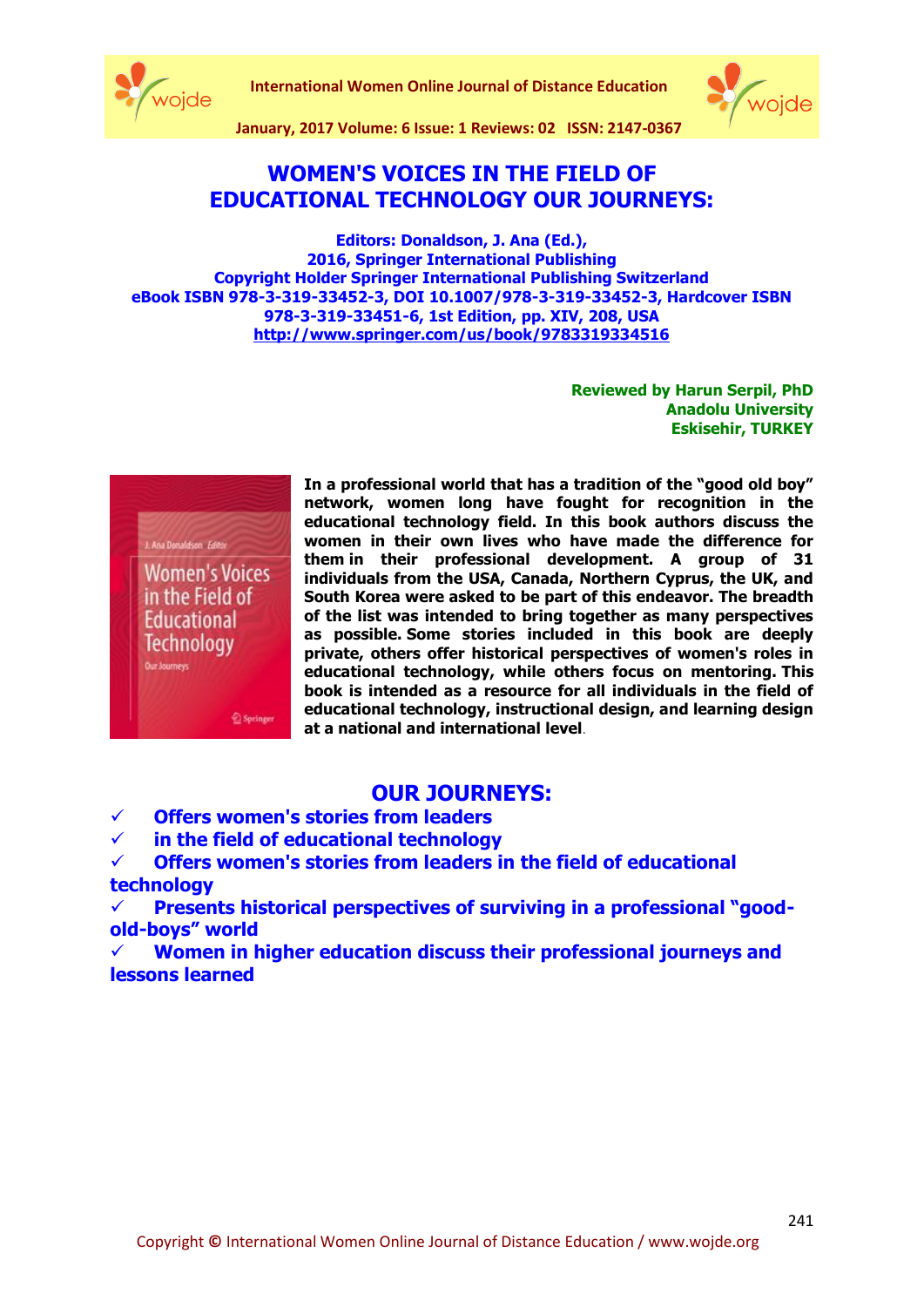

**International Women Online Journal of Distance Education**



**January, 2017 Volume: 6 Issue: 1 Reviews: 02 ISSN: 2147-0367**

## **WOMEN'S VOICES IN THE FIELD OF EDUCATIONAL TECHNOLOGY OUR JOURNEYS:**

**Editors: Donaldson, J. Ana (Ed.), 2016, Springer International Publishing Copyright Holder Springer International Publishing Switzerland eBook ISBN 978-3-319-33452-3, DOI 10.1007/978-3-319-33452-3, Hardcover ISBN 978-3-319-33451-6, 1st Edition, pp. XIV, 208, USA <http://www.springer.com/us/book/9783319334516>**

> **Reviewed by Harun Serpil, PhD Anadolu University Eskisehir, TURKEY**



**network, women long have fought for recognition in the educational technology field. In this book authors discuss the women in their own lives who have made the difference for them in their professional development. A group of 31 individuals from the USA, Canada, Northern Cyprus, the UK, and South Korea were asked to be part of this endeavor. The breadth of the list was intended to bring together as many perspectives as possible. Some stories included in this book are deeply private, others offer historical perspectives of women's roles in educational technology, while others focus on mentoring. This book is intended as a resource for all individuals in the field of educational technology, instructional design, and learning design at a national and international level**.

**In a professional world that has a tradition of the "good old boy"** 

## **OUR JOURNEYS:**

**Offers women's stories from leaders** 

**in the field of educational technology**

 **Offers women's stories from leaders in the field of educational technology**

Presents historical perspectives of surviving in a professional "good**old-boys" world**

 **Women in higher education discuss their professional journeys and lessons learned**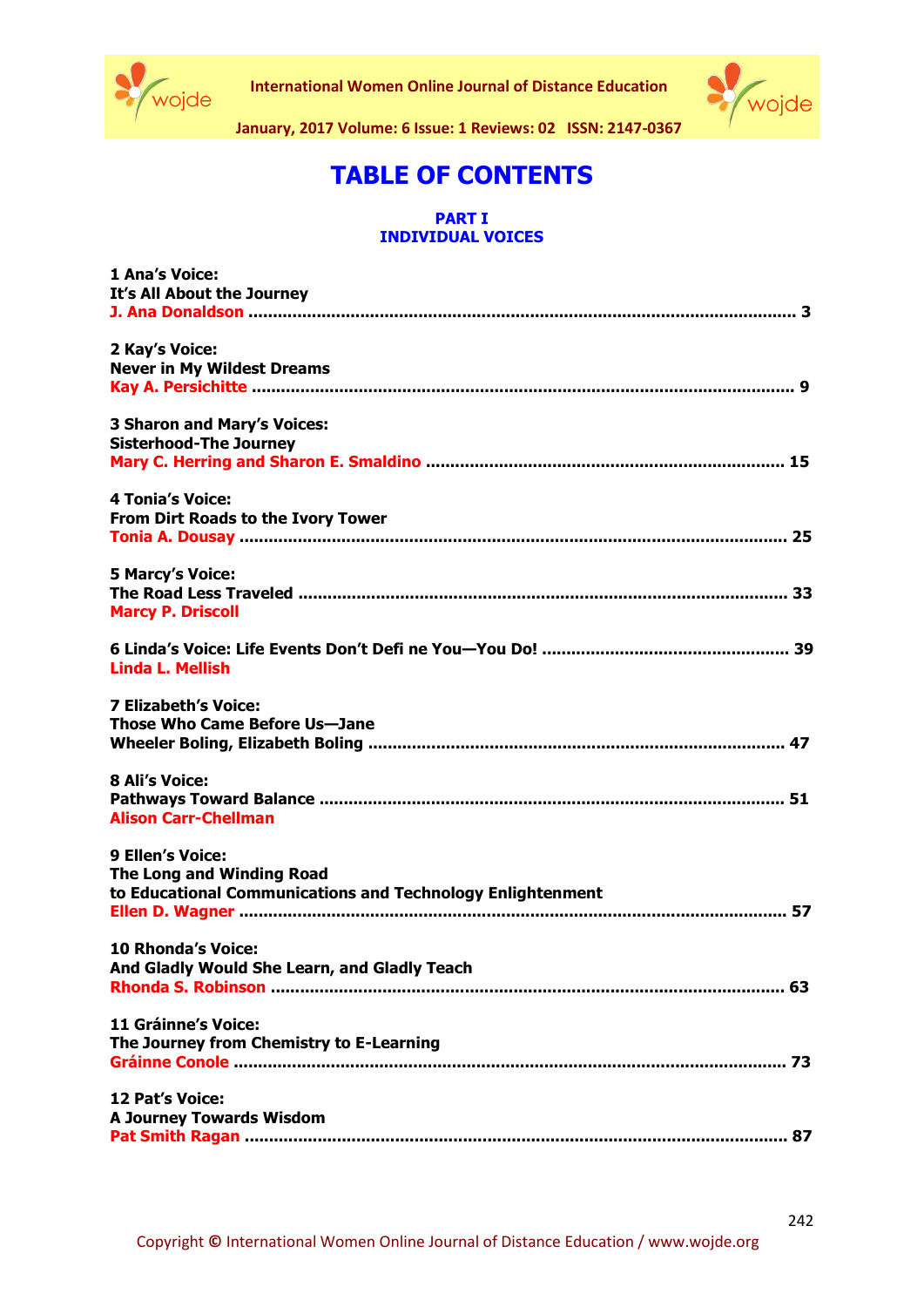



**January, 2017 Volume: 6 Issue: 1 Reviews: 02 ISSN: 2147-0367**

# **TABLE OF CONTENTS**

#### **PART I INDIVIDUAL VOICES**

| 1 Ana's Voice:<br>It's All About the Journey                                                                |
|-------------------------------------------------------------------------------------------------------------|
| 2 Kay's Voice:<br><b>Never in My Wildest Dreams</b>                                                         |
| <b>3 Sharon and Mary's Voices:</b><br><b>Sisterhood-The Journey</b>                                         |
| <b>4 Tonia's Voice:</b><br>From Dirt Roads to the Ivory Tower                                               |
| <b>5 Marcy's Voice:</b><br><b>Marcy P. Driscoll</b>                                                         |
| <b>Linda L. Mellish</b>                                                                                     |
| <b>7 Elizabeth's Voice:</b><br>Those Who Came Before Us-Jane                                                |
| 8 Ali's Voice:<br><b>Alison Carr-Chellman</b>                                                               |
| 9 Ellen's Voice:<br>The Long and Winding Road<br>to Educational Communications and Technology Enlightenment |
| 10 Rhonda's Voice:<br>And Gladly Would She Learn, and Gladly Teach                                          |
| <b>11 Gráinne's Voice:</b><br>The Journey from Chemistry to E-Learning                                      |
| 12 Pat's Voice:<br><b>A Journey Towards Wisdom</b>                                                          |
|                                                                                                             |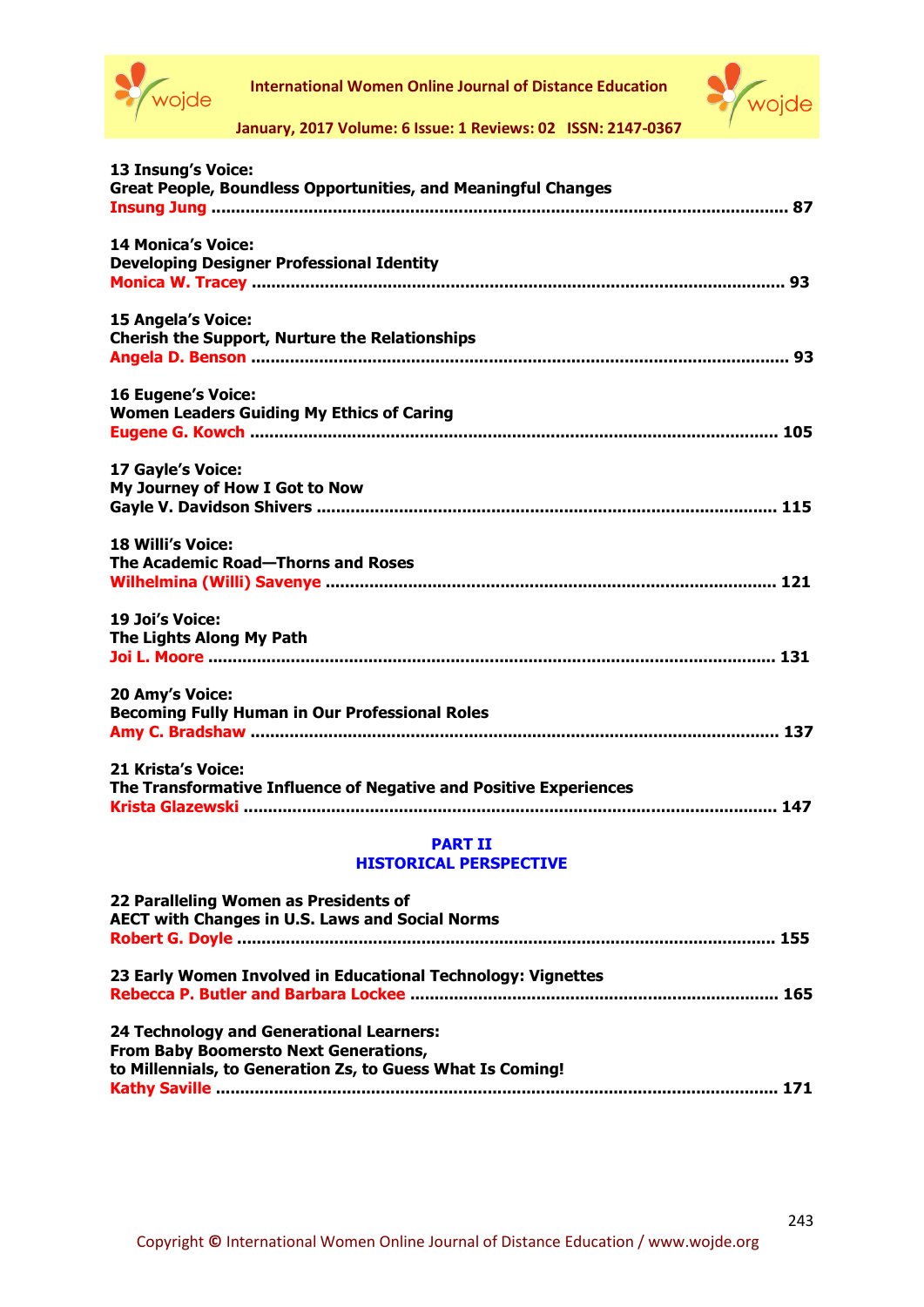

**International Women Online Journal of Distance Education**



**January, 2017 Volume: 6 Issue: 1 Reviews: 02 ISSN: 2147-0367**

| 13 Insung's Voice:                                                   |
|----------------------------------------------------------------------|
| <b>Great People, Boundless Opportunities, and Meaningful Changes</b> |
|                                                                      |
| <b>14 Monica's Voice:</b>                                            |
| <b>Developing Designer Professional Identity</b>                     |
|                                                                      |
| 15 Angela's Voice:                                                   |
| <b>Cherish the Support, Nurture the Relationships</b>                |
|                                                                      |
| <b>16 Eugene's Voice:</b>                                            |
| <b>Women Leaders Guiding My Ethics of Caring</b>                     |
|                                                                      |
| 17 Gayle's Voice:                                                    |
| My Journey of How I Got to Now                                       |
|                                                                      |
| <b>18 Willi's Voice:</b>                                             |
| The Academic Road-Thorns and Roses                                   |
|                                                                      |
| 19 Joi's Voice:                                                      |
| The Lights Along My Path                                             |
|                                                                      |
| 20 Amy's Voice:                                                      |
| <b>Becoming Fully Human in Our Professional Roles</b>                |
|                                                                      |
| 21 Krista's Voice:                                                   |
| The Transformative Influence of Negative and Positive Experiences    |
|                                                                      |
| <b>PART II</b>                                                       |
| <b>HISTORICAL PERSPECTIVE</b>                                        |

| 22 Paralleling Women as Presidents of                        |  |
|--------------------------------------------------------------|--|
| <b>AECT with Changes in U.S. Laws and Social Norms</b>       |  |
|                                                              |  |
| 23 Early Women Involved in Educational Technology: Vignettes |  |
|                                                              |  |
| 24 Technology and Generational Learners:                     |  |
| <b>From Baby Boomersto Next Generations,</b>                 |  |
| to Millennials, to Generation Zs, to Guess What Is Coming!   |  |
|                                                              |  |
|                                                              |  |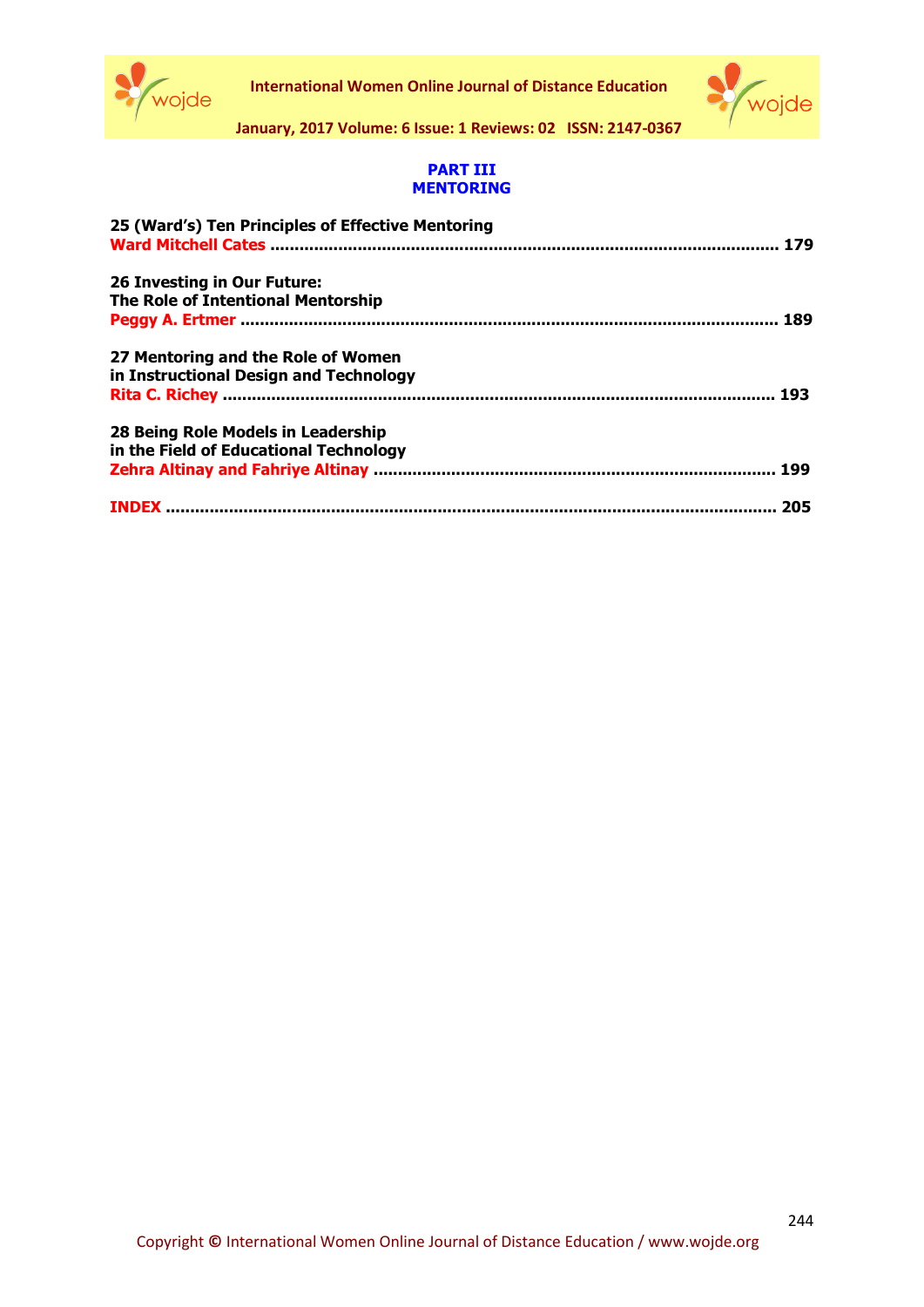



**January, 2017 Volume: 6 Issue: 1 Reviews: 02 ISSN: 2147-0367**

### **PART III MENTORING**

| 25 (Ward's) Ten Principles of Effective Mentoring |     |
|---------------------------------------------------|-----|
| 26 Investing in Our Future:                       |     |
| <b>The Role of Intentional Mentorship</b>         |     |
| 27 Mentoring and the Role of Women                |     |
| in Instructional Design and Technology            |     |
|                                                   |     |
| 28 Being Role Models in Leadership                |     |
| in the Field of Educational Technology            |     |
|                                                   |     |
|                                                   | 205 |
|                                                   |     |